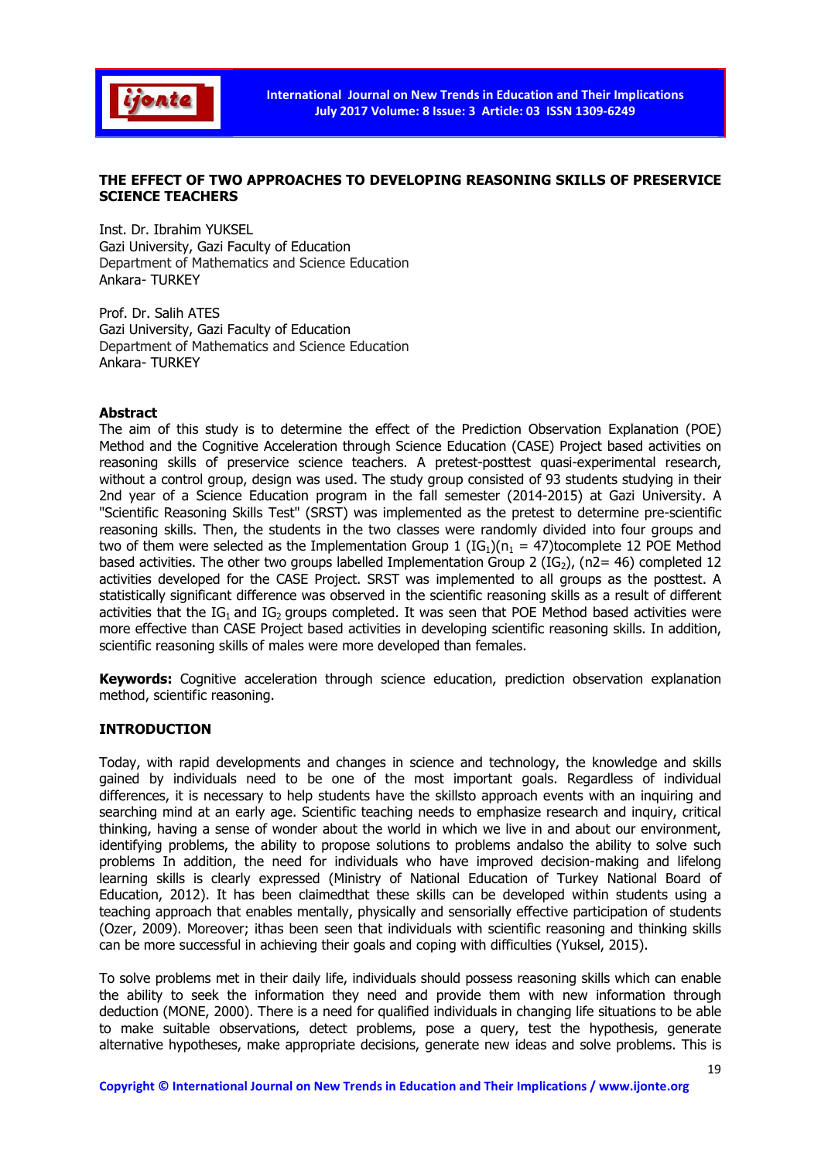

# THE EFFECT OF TWO APPROACHES TO DEVELOPING REASONING SKILLS OF PRESERVICE SCIENCE TEACHERS

Inst. Dr. Ibrahim YUKSEL Gazi University, Gazi Faculty of Education Department of Mathematics and Science Education Ankara- TURKEY

Prof. Dr. Salih ATES Gazi University, Gazi Faculty of Education Department of Mathematics and Science Education Ankara- TURKEY

## Abstract

The aim of this study is to determine the effect of the Prediction Observation Explanation (POE) Method and the Cognitive Acceleration through Science Education (CASE) Project based activities on reasoning skills of preservice science teachers. A pretest-posttest quasi-experimental research, without a control group, design was used. The study group consisted of 93 students studying in their 2nd year of a Science Education program in the fall semester (2014-2015) at Gazi University. A "Scientific Reasoning Skills Test" (SRST) was implemented as the pretest to determine pre-scientific reasoning skills. Then, the students in the two classes were randomly divided into four groups and two of them were selected as the Implementation Group 1 ( $IG<sub>1</sub>$ )( $n<sub>1</sub> = 47$ )tocomplete 12 POE Method based activities. The other two groups labelled Implementation Group 2 (IG<sub>2</sub>), (n2= 46) completed 12 activities developed for the CASE Project. SRST was implemented to all groups as the posttest. A statistically significant difference was observed in the scientific reasoning skills as a result of different activities that the  $IG_1$  and  $IG_2$  groups completed. It was seen that POE Method based activities were more effective than CASE Project based activities in developing scientific reasoning skills. In addition, scientific reasoning skills of males were more developed than females.

Keywords: Cognitive acceleration through science education, prediction observation explanation method, scientific reasoning.

#### INTRODUCTION

Today, with rapid developments and changes in science and technology, the knowledge and skills gained by individuals need to be one of the most important goals. Regardless of individual differences, it is necessary to help students have the skillsto approach events with an inquiring and searching mind at an early age. Scientific teaching needs to emphasize research and inquiry, critical thinking, having a sense of wonder about the world in which we live in and about our environment, identifying problems, the ability to propose solutions to problems andalso the ability to solve such problems In addition, the need for individuals who have improved decision-making and lifelong learning skills is clearly expressed (Ministry of National Education of Turkey National Board of Education, 2012). It has been claimedthat these skills can be developed within students using a teaching approach that enables mentally, physically and sensorially effective participation of students (Ozer, 2009). Moreover; ithas been seen that individuals with scientific reasoning and thinking skills can be more successful in achieving their goals and coping with difficulties (Yuksel, 2015).

To solve problems met in their daily life, individuals should possess reasoning skills which can enable the ability to seek the information they need and provide them with new information through deduction (MONE, 2000). There is a need for qualified individuals in changing life situations to be able to make suitable observations, detect problems, pose a query, test the hypothesis, generate alternative hypotheses, make appropriate decisions, generate new ideas and solve problems. This is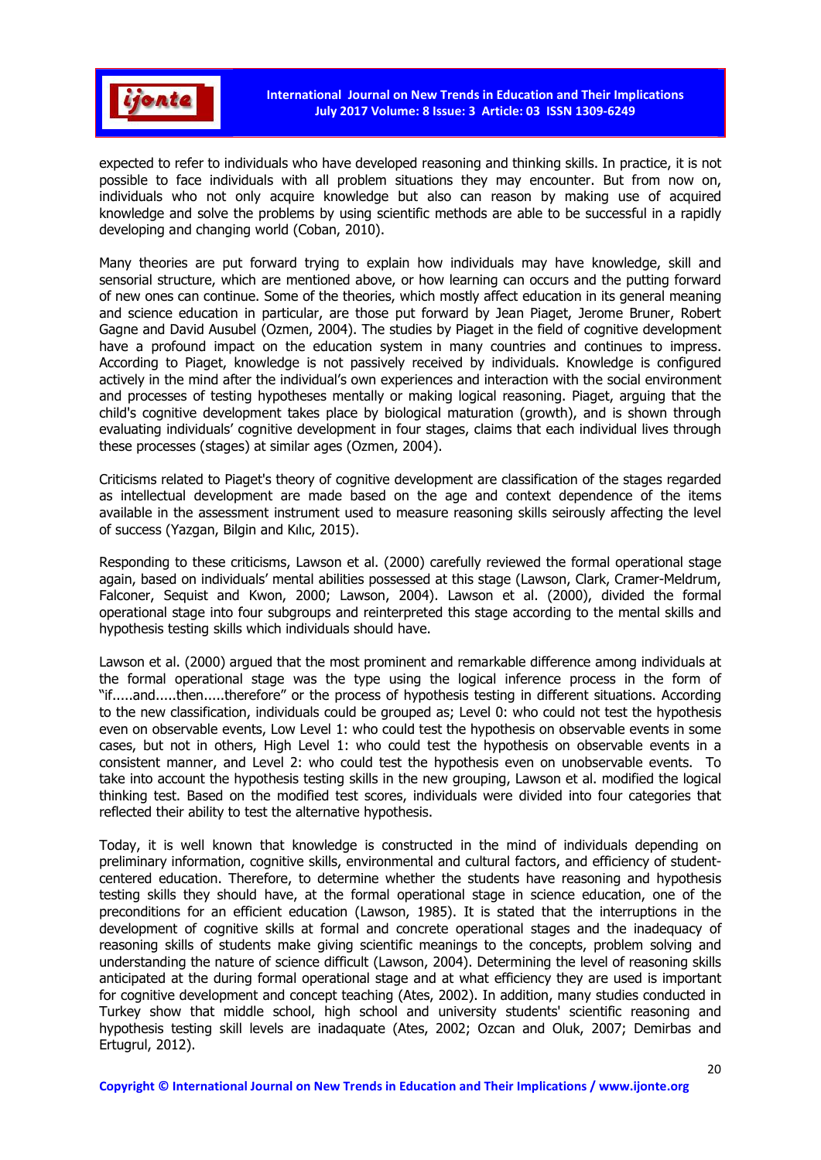

expected to refer to individuals who have developed reasoning and thinking skills. In practice, it is not possible to face individuals with all problem situations they may encounter. But from now on, individuals who not only acquire knowledge but also can reason by making use of acquired knowledge and solve the problems by using scientific methods are able to be successful in a rapidly developing and changing world (Coban, 2010).

Many theories are put forward trying to explain how individuals may have knowledge, skill and sensorial structure, which are mentioned above, or how learning can occurs and the putting forward of new ones can continue. Some of the theories, which mostly affect education in its general meaning and science education in particular, are those put forward by Jean Piaget, Jerome Bruner, Robert Gagne and David Ausubel (Ozmen, 2004). The studies by Piaget in the field of cognitive development have a profound impact on the education system in many countries and continues to impress. According to Piaget, knowledge is not passively received by individuals. Knowledge is configured actively in the mind after the individual's own experiences and interaction with the social environment and processes of testing hypotheses mentally or making logical reasoning. Piaget, arguing that the child's cognitive development takes place by biological maturation (growth), and is shown through evaluating individuals' cognitive development in four stages, claims that each individual lives through these processes (stages) at similar ages (Ozmen, 2004).

Criticisms related to Piaget's theory of cognitive development are classification of the stages regarded as intellectual development are made based on the age and context dependence of the items available in the assessment instrument used to measure reasoning skills seirously affecting the level of success (Yazgan, Bilgin and Kılıc, 2015).

Responding to these criticisms, Lawson et al. (2000) carefully reviewed the formal operational stage again, based on individuals' mental abilities possessed at this stage (Lawson, Clark, Cramer-Meldrum, Falconer, Sequist and Kwon, 2000; Lawson, 2004). Lawson et al. (2000), divided the formal operational stage into four subgroups and reinterpreted this stage according to the mental skills and hypothesis testing skills which individuals should have.

Lawson et al. (2000) argued that the most prominent and remarkable difference among individuals at the formal operational stage was the type using the logical inference process in the form of "if.....and.....then.....therefore" or the process of hypothesis testing in different situations. According to the new classification, individuals could be grouped as; Level 0: who could not test the hypothesis even on observable events, Low Level 1: who could test the hypothesis on observable events in some cases, but not in others, High Level 1: who could test the hypothesis on observable events in a consistent manner, and Level 2: who could test the hypothesis even on unobservable events. To take into account the hypothesis testing skills in the new grouping, Lawson et al. modified the logical thinking test. Based on the modified test scores, individuals were divided into four categories that reflected their ability to test the alternative hypothesis.

Today, it is well known that knowledge is constructed in the mind of individuals depending on preliminary information, cognitive skills, environmental and cultural factors, and efficiency of studentcentered education. Therefore, to determine whether the students have reasoning and hypothesis testing skills they should have, at the formal operational stage in science education, one of the preconditions for an efficient education (Lawson, 1985). It is stated that the interruptions in the development of cognitive skills at formal and concrete operational stages and the inadequacy of reasoning skills of students make giving scientific meanings to the concepts, problem solving and understanding the nature of science difficult (Lawson, 2004). Determining the level of reasoning skills anticipated at the during formal operational stage and at what efficiency they are used is important for cognitive development and concept teaching (Ates, 2002). In addition, many studies conducted in Turkey show that middle school, high school and university students' scientific reasoning and hypothesis testing skill levels are inadaquate (Ates, 2002; Ozcan and Oluk, 2007; Demirbas and Ertugrul, 2012).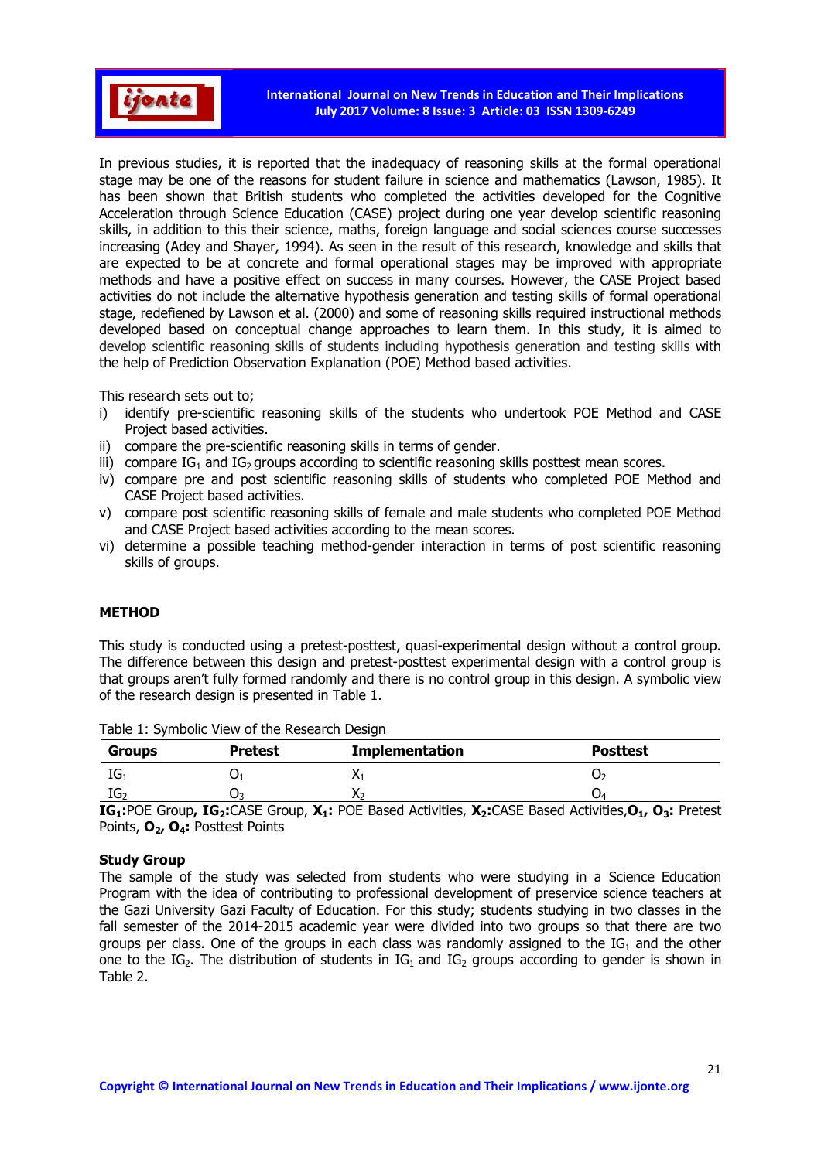

In previous studies, it is reported that the inadequacy of reasoning skills at the formal operational stage may be one of the reasons for student failure in science and mathematics (Lawson, 1985). It has been shown that British students who completed the activities developed for the Cognitive Acceleration through Science Education (CASE) project during one year develop scientific reasoning skills, in addition to this their science, maths, foreign language and social sciences course successes increasing (Adey and Shayer, 1994). As seen in the result of this research, knowledge and skills that are expected to be at concrete and formal operational stages may be improved with appropriate methods and have a positive effect on success in many courses. However, the CASE Project based activities do not include the alternative hypothesis generation and testing skills of formal operational stage, redefiened by Lawson et al. (2000) and some of reasoning skills required instructional methods developed based on conceptual change approaches to learn them. In this study, it is aimed to develop scientific reasoning skills of students including hypothesis generation and testing skills with the help of Prediction Observation Explanation (POE) Method based activities.

This research sets out to;

- i) identify pre-scientific reasoning skills of the students who undertook POE Method and CASE Project based activities.
- ii) compare the pre-scientific reasoning skills in terms of gender.
- iii) compare IG<sub>1</sub> and IG<sub>2</sub> groups according to scientific reasoning skills posttest mean scores.
- iv) compare pre and post scientific reasoning skills of students who completed POE Method and CASE Project based activities.
- v) compare post scientific reasoning skills of female and male students who completed POE Method and CASE Project based activities according to the mean scores.
- vi) determine a possible teaching method-gender interaction in terms of post scientific reasoning skills of groups.

# METHOD

This study is conducted using a pretest-posttest, quasi-experimental design without a control group. The difference between this design and pretest-posttest experimental design with a control group is that groups aren't fully formed randomly and there is no control group in this design. A symbolic view of the research design is presented in Table 1.

| <b>Groups</b> | <b>Pretest</b> | <b>Implementation</b> | <b>Posttest</b> |
|---------------|----------------|-----------------------|-----------------|
| ּ<br>נטו $_1$ | U              |                       | U.              |
| ∽<br>IU2      |                |                       | Ő4              |

Table 1: Symbolic View of the Research Design

IG<sub>1</sub>:POE Group, IG<sub>2</sub>:CASE Group, X<sub>1</sub>: POE Based Activities, X<sub>2</sub>:CASE Based Activities, O<sub>1</sub>, O<sub>3</sub>: Pretest Points, O<sub>2</sub>, O<sub>4</sub>: Posttest Points

#### Study Group

The sample of the study was selected from students who were studying in a Science Education Program with the idea of contributing to professional development of preservice science teachers at the Gazi University Gazi Faculty of Education. For this study; students studying in two classes in the fall semester of the 2014-2015 academic year were divided into two groups so that there are two groups per class. One of the groups in each class was randomly assigned to the  $IG<sub>1</sub>$  and the other one to the IG<sub>2</sub>. The distribution of students in IG<sub>1</sub> and IG<sub>2</sub> groups according to gender is shown in Table 2.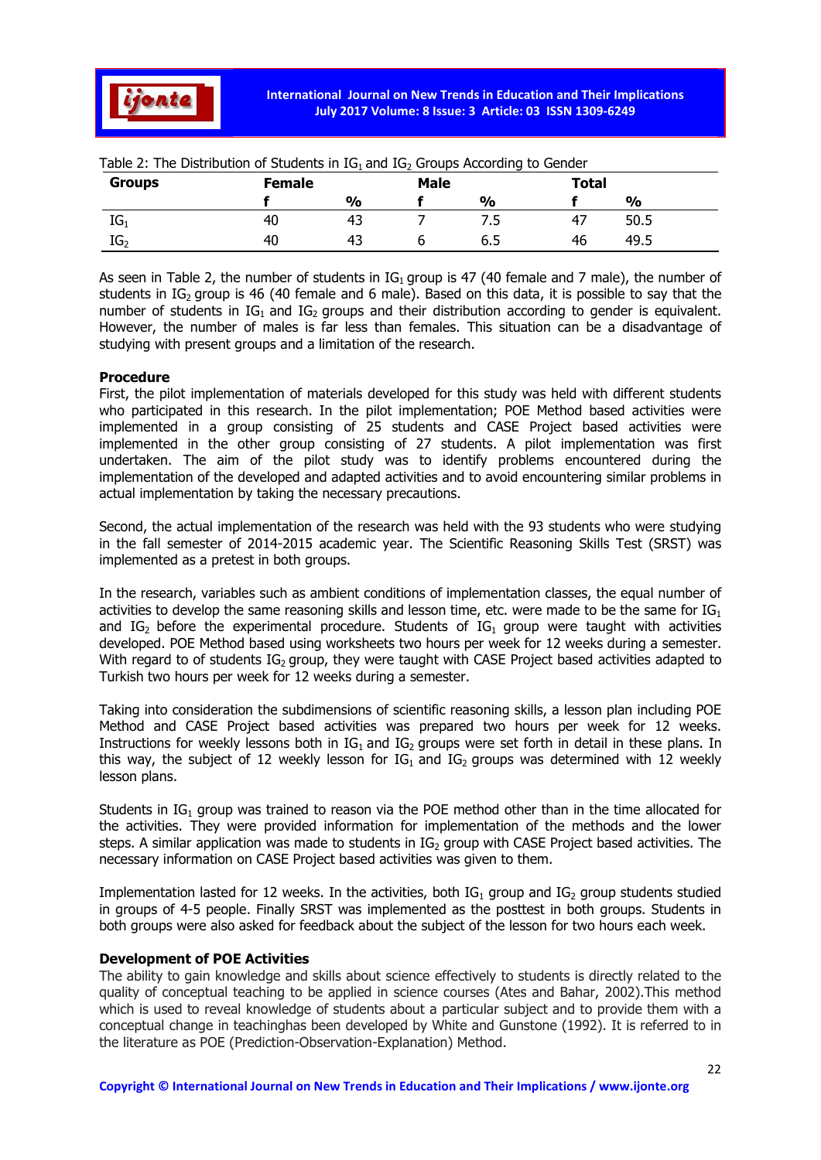

| <b>Groups</b>   | <b>Female</b> |               | <b>Male</b> |               | <b>Total</b> |               |
|-----------------|---------------|---------------|-------------|---------------|--------------|---------------|
|                 |               | $\frac{0}{0}$ |             | $\frac{0}{0}$ |              | $\frac{0}{0}$ |
| $IG_1$          | 40            | 43            |             | כ.            | 47           | 50.5          |
| IG <sub>2</sub> | 40            | 43            |             | ნ.5           | 46           | 49.5          |

Table 2: The Distribution of Students in  $IG<sub>1</sub>$  and  $IG<sub>2</sub>$  Groups According to Gender

As seen in Table 2, the number of students in  $IG_1$  group is 47 (40 female and 7 male), the number of students in IG<sub>2</sub> group is 46 (40 female and 6 male). Based on this data, it is possible to say that the number of students in  $IG_1$  and  $IG_2$  groups and their distribution according to gender is equivalent. However, the number of males is far less than females. This situation can be a disadvantage of studying with present groups and a limitation of the research.

#### Procedure

First, the pilot implementation of materials developed for this study was held with different students who participated in this research. In the pilot implementation; POE Method based activities were implemented in a group consisting of 25 students and CASE Project based activities were implemented in the other group consisting of 27 students. A pilot implementation was first undertaken. The aim of the pilot study was to identify problems encountered during the implementation of the developed and adapted activities and to avoid encountering similar problems in actual implementation by taking the necessary precautions.

Second, the actual implementation of the research was held with the 93 students who were studying in the fall semester of 2014-2015 academic year. The Scientific Reasoning Skills Test (SRST) was implemented as a pretest in both groups.

In the research, variables such as ambient conditions of implementation classes, the equal number of activities to develop the same reasoning skills and lesson time, etc. were made to be the same for  $IG_1$ and IG<sub>2</sub> before the experimental procedure. Students of IG<sub>1</sub> group were taught with activities developed. POE Method based using worksheets two hours per week for 12 weeks during a semester. With regard to of students  $IG_2$  group, they were taught with CASE Project based activities adapted to Turkish two hours per week for 12 weeks during a semester.

Taking into consideration the subdimensions of scientific reasoning skills, a lesson plan including POE Method and CASE Project based activities was prepared two hours per week for 12 weeks. Instructions for weekly lessons both in  $IG_1$  and  $IG_2$  groups were set forth in detail in these plans. In this way, the subject of 12 weekly lesson for  $IG_1$  and  $IG_2$  groups was determined with 12 weekly lesson plans.

Students in  $IG_1$  group was trained to reason via the POE method other than in the time allocated for the activities. They were provided information for implementation of the methods and the lower steps. A similar application was made to students in  $IG<sub>2</sub>$  group with CASE Project based activities. The necessary information on CASE Project based activities was given to them.

Implementation lasted for 12 weeks. In the activities, both  $IG_1$  group and  $IG_2$  group students studied in groups of 4-5 people. Finally SRST was implemented as the posttest in both groups. Students in both groups were also asked for feedback about the subject of the lesson for two hours each week.

### Development of POE Activities

The ability to gain knowledge and skills about science effectively to students is directly related to the quality of conceptual teaching to be applied in science courses (Ates and Bahar, 2002).This method which is used to reveal knowledge of students about a particular subject and to provide them with a conceptual change in teachinghas been developed by White and Gunstone (1992). It is referred to in the literature as POE (Prediction-Observation-Explanation) Method.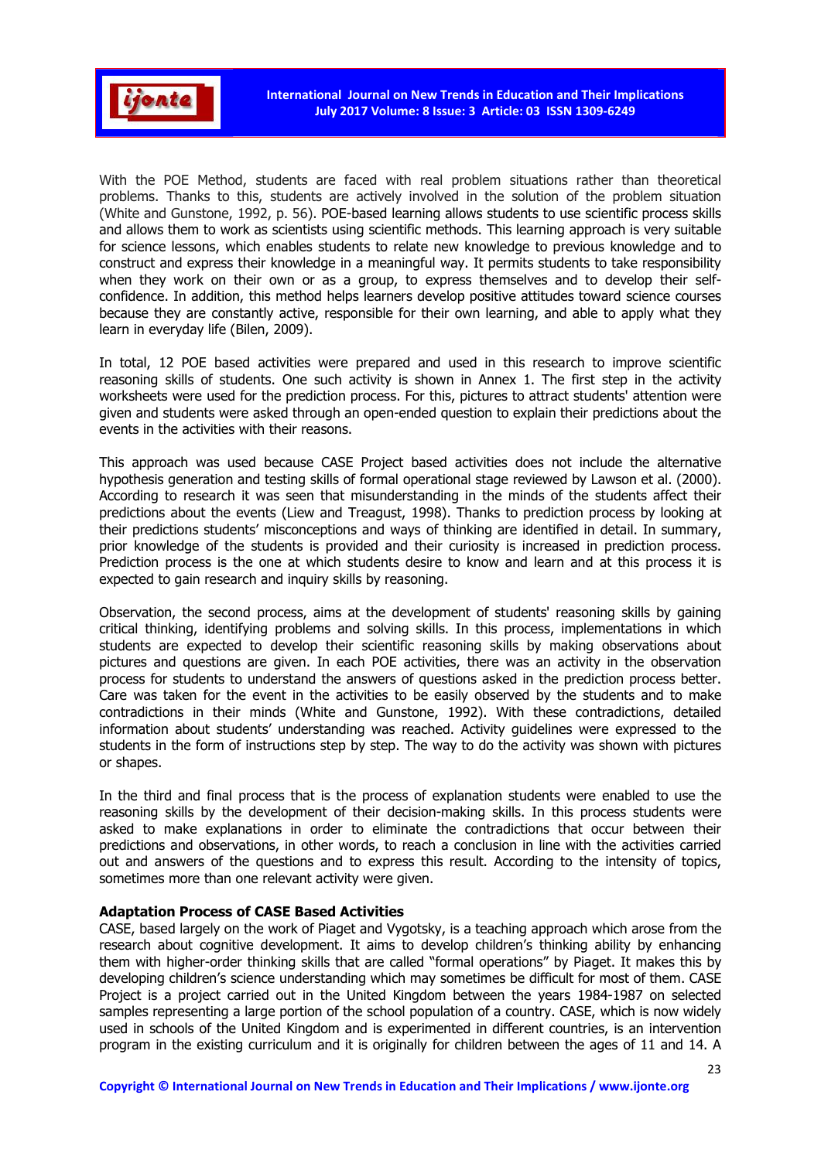

With the POE Method, students are faced with real problem situations rather than theoretical problems. Thanks to this, students are actively involved in the solution of the problem situation (White and Gunstone, 1992, p. 56). POE-based learning allows students to use scientific process skills and allows them to work as scientists using scientific methods. This learning approach is very suitable for science lessons, which enables students to relate new knowledge to previous knowledge and to construct and express their knowledge in a meaningful way. It permits students to take responsibility when they work on their own or as a group, to express themselves and to develop their selfconfidence. In addition, this method helps learners develop positive attitudes toward science courses because they are constantly active, responsible for their own learning, and able to apply what they learn in everyday life (Bilen, 2009).

In total, 12 POE based activities were prepared and used in this research to improve scientific reasoning skills of students. One such activity is shown in Annex 1. The first step in the activity worksheets were used for the prediction process. For this, pictures to attract students' attention were given and students were asked through an open-ended question to explain their predictions about the events in the activities with their reasons.

This approach was used because CASE Project based activities does not include the alternative hypothesis generation and testing skills of formal operational stage reviewed by Lawson et al. (2000). According to research it was seen that misunderstanding in the minds of the students affect their predictions about the events (Liew and Treagust, 1998). Thanks to prediction process by looking at their predictions students' misconceptions and ways of thinking are identified in detail. In summary, prior knowledge of the students is provided and their curiosity is increased in prediction process. Prediction process is the one at which students desire to know and learn and at this process it is expected to gain research and inquiry skills by reasoning.

Observation, the second process, aims at the development of students' reasoning skills by gaining critical thinking, identifying problems and solving skills. In this process, implementations in which students are expected to develop their scientific reasoning skills by making observations about pictures and questions are given. In each POE activities, there was an activity in the observation process for students to understand the answers of questions asked in the prediction process better. Care was taken for the event in the activities to be easily observed by the students and to make contradictions in their minds (White and Gunstone, 1992). With these contradictions, detailed information about students' understanding was reached. Activity guidelines were expressed to the students in the form of instructions step by step. The way to do the activity was shown with pictures or shapes.

In the third and final process that is the process of explanation students were enabled to use the reasoning skills by the development of their decision-making skills. In this process students were asked to make explanations in order to eliminate the contradictions that occur between their predictions and observations, in other words, to reach a conclusion in line with the activities carried out and answers of the questions and to express this result. According to the intensity of topics, sometimes more than one relevant activity were given.

#### Adaptation Process of CASE Based Activities

CASE, based largely on the work of Piaget and Vygotsky, is a teaching approach which arose from the research about cognitive development. It aims to develop children's thinking ability by enhancing them with higher-order thinking skills that are called "formal operations" by Piaget. It makes this by developing children's science understanding which may sometimes be difficult for most of them. CASE Project is a project carried out in the United Kingdom between the years 1984-1987 on selected samples representing a large portion of the school population of a country. CASE, which is now widely used in schools of the United Kingdom and is experimented in different countries, is an intervention program in the existing curriculum and it is originally for children between the ages of 11 and 14. A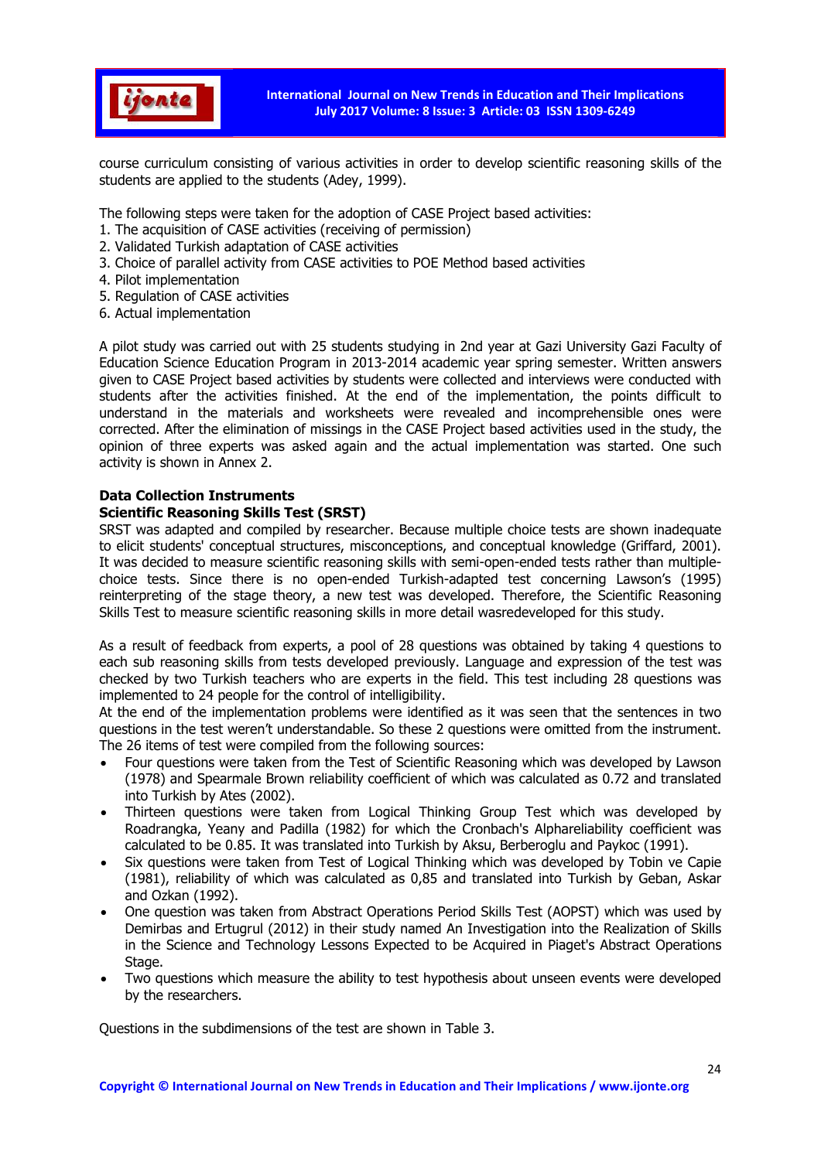

course curriculum consisting of various activities in order to develop scientific reasoning skills of the students are applied to the students (Adey, 1999).

The following steps were taken for the adoption of CASE Project based activities:

- 1. The acquisition of CASE activities (receiving of permission)
- 2. Validated Turkish adaptation of CASE activities
- 3. Choice of parallel activity from CASE activities to POE Method based activities
- 4. Pilot implementation
- 5. Regulation of CASE activities
- 6. Actual implementation

A pilot study was carried out with 25 students studying in 2nd year at Gazi University Gazi Faculty of Education Science Education Program in 2013-2014 academic year spring semester. Written answers given to CASE Project based activities by students were collected and interviews were conducted with students after the activities finished. At the end of the implementation, the points difficult to understand in the materials and worksheets were revealed and incomprehensible ones were corrected. After the elimination of missings in the CASE Project based activities used in the study, the opinion of three experts was asked again and the actual implementation was started. One such activity is shown in Annex 2.

## Data Collection Instruments

# Scientific Reasoning Skills Test (SRST)

SRST was adapted and compiled by researcher. Because multiple choice tests are shown inadequate to elicit students' conceptual structures, misconceptions, and conceptual knowledge (Griffard, 2001). It was decided to measure scientific reasoning skills with semi-open-ended tests rather than multiplechoice tests. Since there is no open-ended Turkish-adapted test concerning Lawson's (1995) reinterpreting of the stage theory, a new test was developed. Therefore, the Scientific Reasoning Skills Test to measure scientific reasoning skills in more detail wasredeveloped for this study.

As a result of feedback from experts, a pool of 28 questions was obtained by taking 4 questions to each sub reasoning skills from tests developed previously. Language and expression of the test was checked by two Turkish teachers who are experts in the field. This test including 28 questions was implemented to 24 people for the control of intelligibility.

At the end of the implementation problems were identified as it was seen that the sentences in two questions in the test weren't understandable. So these 2 questions were omitted from the instrument. The 26 items of test were compiled from the following sources:

- Four questions were taken from the Test of Scientific Reasoning which was developed by Lawson (1978) and Spearmale Brown reliability coefficient of which was calculated as 0.72 and translated into Turkish by Ates (2002).
- Thirteen questions were taken from Logical Thinking Group Test which was developed by Roadrangka, Yeany and Padilla (1982) for which the Cronbach's Alphareliability coefficient was calculated to be 0.85. It was translated into Turkish by Aksu, Berberoglu and Paykoc (1991).
- Six questions were taken from Test of Logical Thinking which was developed by Tobin ve Capie (1981), reliability of which was calculated as 0,85 and translated into Turkish by Geban, Askar and Ozkan (1992).
- One question was taken from Abstract Operations Period Skills Test (AOPST) which was used by Demirbas and Ertugrul (2012) in their study named An Investigation into the Realization of Skills in the Science and Technology Lessons Expected to be Acquired in Piaget's Abstract Operations Stage.
- Two questions which measure the ability to test hypothesis about unseen events were developed by the researchers.

Questions in the subdimensions of the test are shown in Table 3.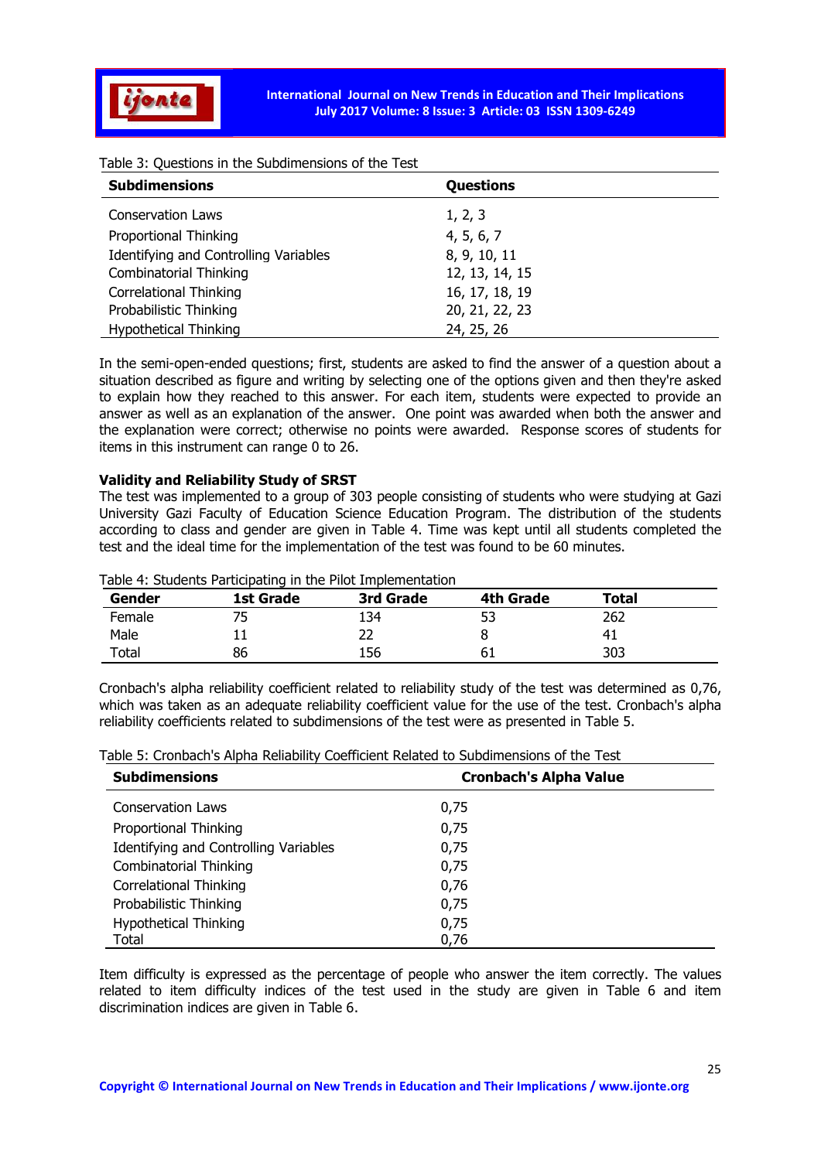

Table 3: Questions in the Subdimensions of the Test

| <b>Subdimensions</b>                  | Questions      |  |
|---------------------------------------|----------------|--|
| <b>Conservation Laws</b>              | 1, 2, 3        |  |
| Proportional Thinking                 | 4, 5, 6, 7     |  |
| Identifying and Controlling Variables | 8, 9, 10, 11   |  |
| <b>Combinatorial Thinking</b>         | 12, 13, 14, 15 |  |
| Correlational Thinking                | 16, 17, 18, 19 |  |
| Probabilistic Thinking                | 20, 21, 22, 23 |  |
| <b>Hypothetical Thinking</b>          | 24, 25, 26     |  |

In the semi-open-ended questions; first, students are asked to find the answer of a question about a situation described as figure and writing by selecting one of the options given and then they're asked to explain how they reached to this answer. For each item, students were expected to provide an answer as well as an explanation of the answer. One point was awarded when both the answer and the explanation were correct; otherwise no points were awarded. Response scores of students for items in this instrument can range 0 to 26.

### Validity and Reliability Study of SRST

The test was implemented to a group of 303 people consisting of students who were studying at Gazi University Gazi Faculty of Education Science Education Program. The distribution of the students according to class and gender are given in Table 4. Time was kept until all students completed the test and the ideal time for the implementation of the test was found to be 60 minutes.

| Gender | 1st Grade | 3rd Grade | 4th Grade | <b>Total</b> |  |
|--------|-----------|-----------|-----------|--------------|--|
| Female |           | 134       | 53        | 262          |  |
| Male   |           |           |           |              |  |
| Total  | 86        | 156       | ы         | 303          |  |

Table 4: Students Participating in the Pilot Implementation

Cronbach's alpha reliability coefficient related to reliability study of the test was determined as 0,76, which was taken as an adequate reliability coefficient value for the use of the test. Cronbach's alpha reliability coefficients related to subdimensions of the test were as presented in Table 5.

| <b>Subdimensions</b>                  | <b>Cronbach's Alpha Value</b> |
|---------------------------------------|-------------------------------|
| <b>Conservation Laws</b>              | 0,75                          |
| Proportional Thinking                 | 0,75                          |
| Identifying and Controlling Variables | 0,75                          |
| <b>Combinatorial Thinking</b>         | 0,75                          |
| <b>Correlational Thinking</b>         | 0,76                          |
| Probabilistic Thinking                | 0,75                          |
| <b>Hypothetical Thinking</b>          | 0,75                          |
| Total                                 | 0,76                          |

Item difficulty is expressed as the percentage of people who answer the item correctly. The values related to item difficulty indices of the test used in the study are given in Table 6 and item discrimination indices are given in Table 6.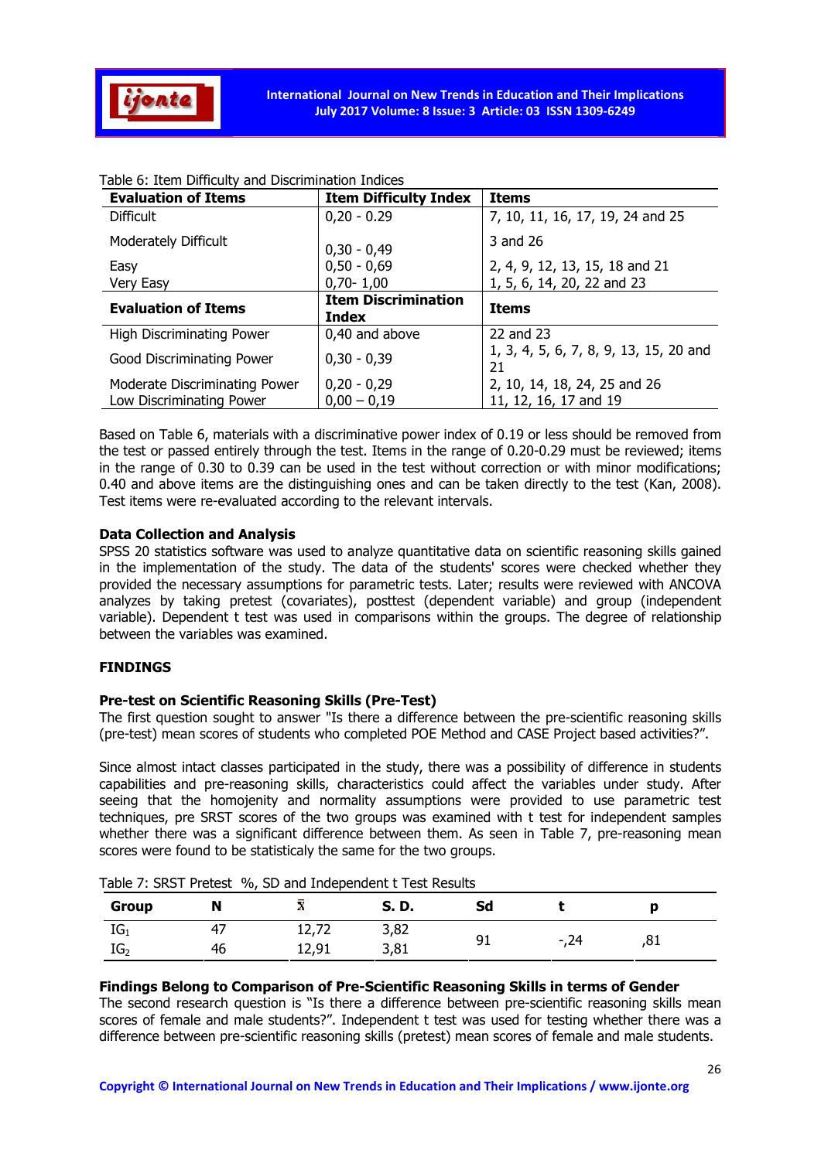

| <b>Evaluation of Items</b>       | <b>Item Difficulty Index</b>        | <b>Items</b>                                 |
|----------------------------------|-------------------------------------|----------------------------------------------|
| <b>Difficult</b>                 | $0,20 - 0.29$                       | 7, 10, 11, 16, 17, 19, 24 and 25             |
| Moderately Difficult             | $0,30 - 0,49$                       | 3 and 26                                     |
| Easy                             | $0,50 - 0,69$                       | 2, 4, 9, 12, 13, 15, 18 and 21               |
| Very Easy                        | $0,70 - 1,00$                       | 1, 5, 6, 14, 20, 22 and 23                   |
| <b>Evaluation of Items</b>       | <b>Item Discrimination</b><br>Index | <b>Items</b>                                 |
| <b>High Discriminating Power</b> | 0,40 and above                      | 22 and 23                                    |
| Good Discriminating Power        | $0,30 - 0,39$                       | 1, 3, 4, 5, 6, 7, 8, 9, 13, 15, 20 and<br>21 |
| Moderate Discriminating Power    | $0,20 - 0,29$                       | 2, 10, 14, 18, 24, 25 and 26                 |
|                                  |                                     |                                              |

### Table 6: Item Difficulty and Discrimination Indices

Based on Table 6, materials with a discriminative power index of 0.19 or less should be removed from the test or passed entirely through the test. Items in the range of 0.20-0.29 must be reviewed; items in the range of 0.30 to 0.39 can be used in the test without correction or with minor modifications; 0.40 and above items are the distinguishing ones and can be taken directly to the test (Kan, 2008). Test items were re-evaluated according to the relevant intervals.

## Data Collection and Analysis

SPSS 20 statistics software was used to analyze quantitative data on scientific reasoning skills gained in the implementation of the study. The data of the students' scores were checked whether they provided the necessary assumptions for parametric tests. Later; results were reviewed with ANCOVA analyzes by taking pretest (covariates), posttest (dependent variable) and group (independent variable). Dependent t test was used in comparisons within the groups. The degree of relationship between the variables was examined.

### FINDINGS

### Pre-test on Scientific Reasoning Skills (Pre-Test)

The first question sought to answer "Is there a difference between the pre-scientific reasoning skills (pre-test) mean scores of students who completed POE Method and CASE Project based activities?".

Since almost intact classes participated in the study, there was a possibility of difference in students capabilities and pre-reasoning skills, characteristics could affect the variables under study. After seeing that the homojenity and normality assumptions were provided to use parametric test techniques, pre SRST scores of the two groups was examined with t test for independent samples whether there was a significant difference between them. As seen in Table 7, pre-reasoning mean scores were found to be statisticaly the same for the two groups.

| Group           |    |       | S. D. |    |      |  |
|-----------------|----|-------|-------|----|------|--|
| $IG_1$          |    |       | 3,82  |    |      |  |
| IG <sub>2</sub> | 46 | 12.91 | 3.81  | 91 | -.24 |  |

Table 7: SRST Pretest %, SD and Independent t Test Results

#### Findings Belong to Comparison of Pre-Scientific Reasoning Skills in terms of Gender

The second research question is "Is there a difference between pre-scientific reasoning skills mean scores of female and male students?". Independent t test was used for testing whether there was a difference between pre-scientific reasoning skills (pretest) mean scores of female and male students.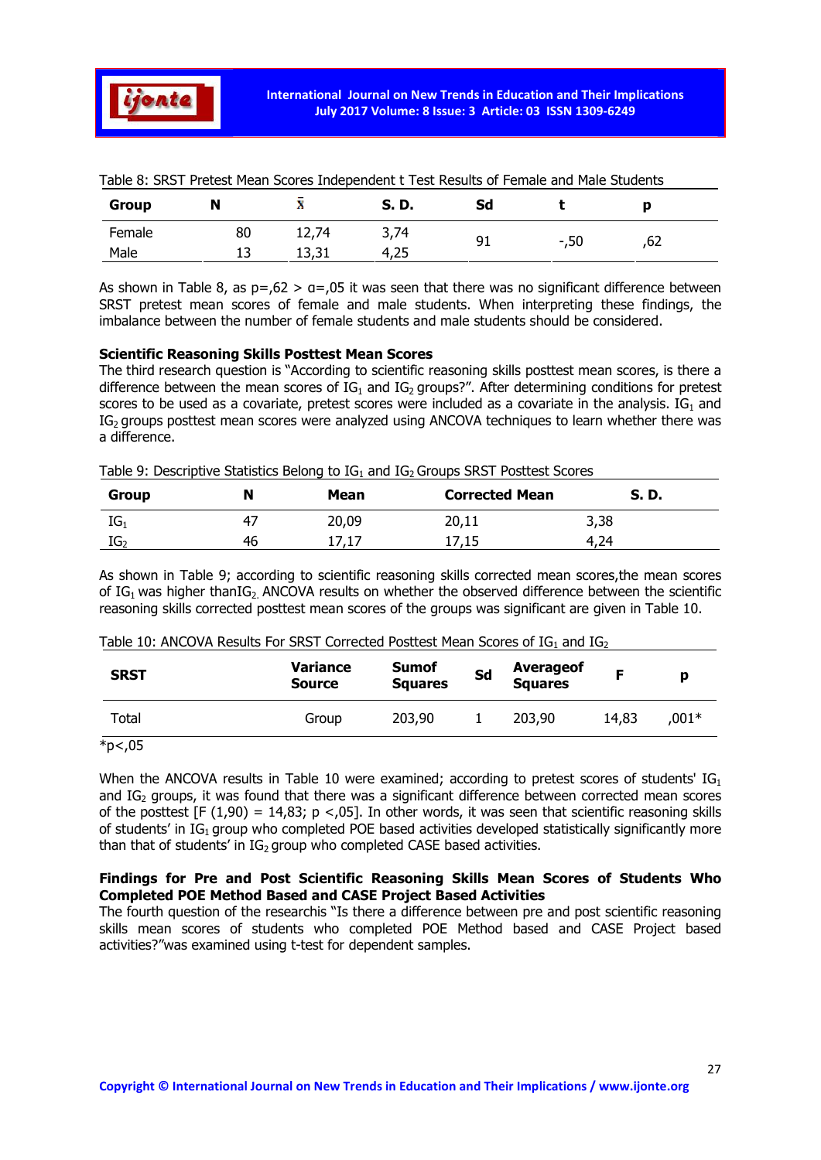

| <b>Group</b> | N  | .<br>48 | D.<br>S. | Sd |         |     |  |
|--------------|----|---------|----------|----|---------|-----|--|
| Female       | 80 | 12,74   | 3,74     | 91 | $-0.50$ | ,62 |  |
| Male         | ᆚ  | ᆦᆛᇅᆦ    | 4,25     |    |         |     |  |

Table 8: SRST Pretest Mean Scores Independent t Test Results of Female and Male Students

As shown in Table 8, as  $p = 62 > a = 0.05$  it was seen that there was no significant difference between SRST pretest mean scores of female and male students. When interpreting these findings, the imbalance between the number of female students and male students should be considered.

#### Scientific Reasoning Skills Posttest Mean Scores

The third research question is "According to scientific reasoning skills posttest mean scores, is there a difference between the mean scores of  $IG_1$  and  $IG_2$  groups?". After determining conditions for pretest scores to be used as a covariate, pretest scores were included as a covariate in the analysis.  $IG_1$  and IG<sub>2</sub> groups posttest mean scores were analyzed using ANCOVA techniques to learn whether there was a difference.

| <b>Group</b>    | N   | Mean  | <b>Corrected Mean</b> | S. D. |
|-----------------|-----|-------|-----------------------|-------|
| $IG_1$          | -47 | 20,09 | 20,11                 | 3,38  |
| IG <sub>2</sub> | 46  | 17,17 | 17,15                 | 4,24  |

As shown in Table 9; according to scientific reasoning skills corrected mean scores,the mean scores of  $IG_1$  was higher than $IG_2$  ANCOVA results on whether the observed difference between the scientific reasoning skills corrected posttest mean scores of the groups was significant are given in Table 10.

| <b>SRST</b>             | Variance<br><b>Source</b> | <b>Sumof</b><br><b>Squares</b> | Sd | <b>Averageof</b><br>Squares |       |       |
|-------------------------|---------------------------|--------------------------------|----|-----------------------------|-------|-------|
| Total                   | Group                     | 203,90                         |    | 203,90                      | 14,83 | ,001* |
| $\star$ . $\sim$ $\sim$ |                           |                                |    |                             |       |       |

 $*p<sub>0</sub>05$ 

When the ANCOVA results in Table 10 were examined; according to pretest scores of students'  $IG<sub>1</sub>$ and  $IG<sub>2</sub>$  groups, it was found that there was a significant difference between corrected mean scores of the posttest  $[F (1,90) = 14,83; p < .05]$ . In other words, it was seen that scientific reasoning skills of students' in  $IG_1$  group who completed POE based activities developed statistically significantly more than that of students' in  $IG_2$  group who completed CASE based activities.

## Findings for Pre and Post Scientific Reasoning Skills Mean Scores of Students Who Completed POE Method Based and CASE Project Based Activities

The fourth question of the researchis "Is there a difference between pre and post scientific reasoning skills mean scores of students who completed POE Method based and CASE Project based activities?"was examined using t-test for dependent samples.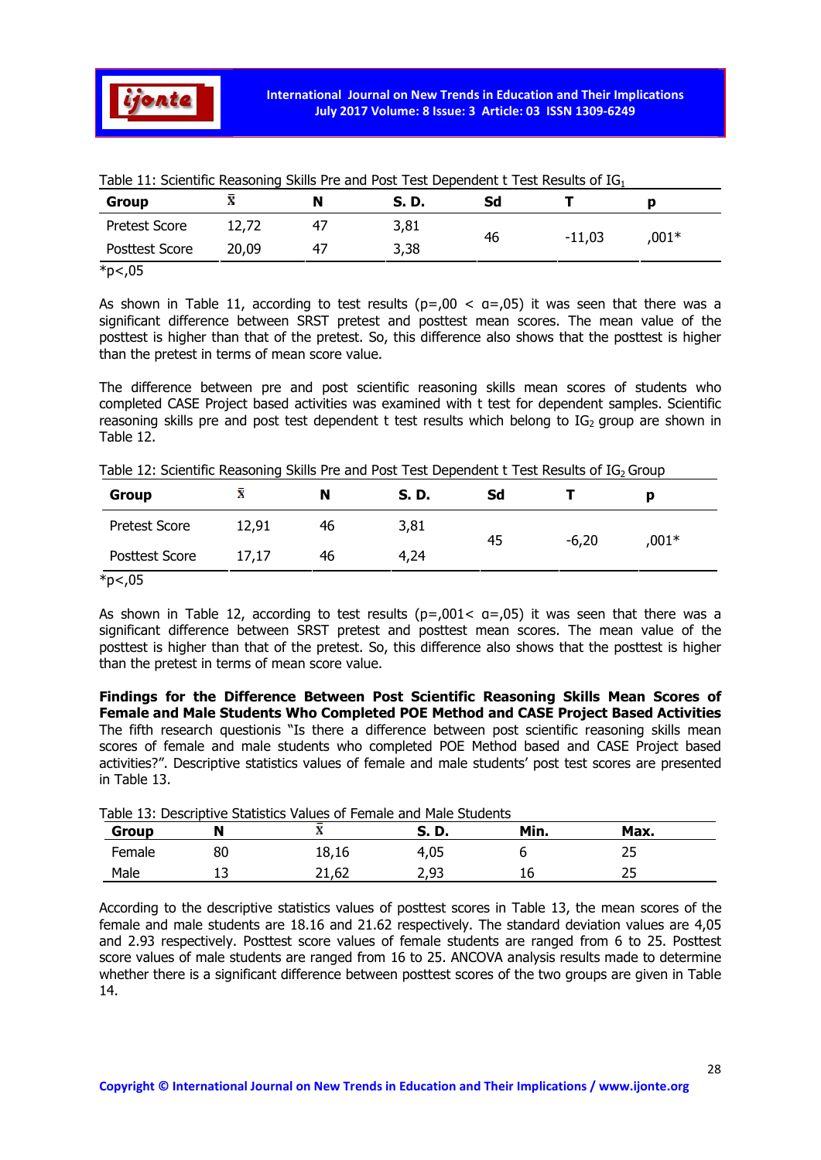

| <b>Group</b>              | æ     | N  | S. D. | Sd |          | D        |
|---------------------------|-------|----|-------|----|----------|----------|
| <b>Pretest Score</b>      | 12,72 | 47 | 3,81  | 46 | $-11,03$ | $0.001*$ |
| <b>Posttest Score</b>     | 20,09 | 47 | 3,38  |    |          |          |
| $*_{n}$ $\wedge$ $\wedge$ |       |    |       |    |          |          |

\*p<,05

As shown in Table 11, according to test results ( $p = 00 < a = 0.05$ ) it was seen that there was a significant difference between SRST pretest and posttest mean scores. The mean value of the posttest is higher than that of the pretest. So, this difference also shows that the posttest is higher than the pretest in terms of mean score value.

The difference between pre and post scientific reasoning skills mean scores of students who completed CASE Project based activities was examined with t test for dependent samples. Scientific reasoning skills pre and post test dependent t test results which belong to  $IG<sub>2</sub>$  group are shown in Table 12.

Table 12: Scientific Reasoning Skills Pre and Post Test Dependent t Test Results of IG<sub>2</sub> Group

| Group                               | x     | N  | S. D. | Sd |         |       |
|-------------------------------------|-------|----|-------|----|---------|-------|
| <b>Pretest Score</b>                | 12,91 | 46 | 3,81  |    | $-6,20$ | ,001* |
| <b>Posttest Score</b>               | 17,17 | 46 | 4,24  | 45 |         |       |
| $\star$ $\sim$ $\sim$ $\sim$ $\sim$ |       |    |       |    |         |       |

\*p<,05

As shown in Table 12, according to test results ( $p=.001< q=.05$ ) it was seen that there was a significant difference between SRST pretest and posttest mean scores. The mean value of the posttest is higher than that of the pretest. So, this difference also shows that the posttest is higher than the pretest in terms of mean score value.

Findings for the Difference Between Post Scientific Reasoning Skills Mean Scores of Female and Male Students Who Completed POE Method and CASE Project Based Activities The fifth research questionis "Is there a difference between post scientific reasoning skills mean scores of female and male students who completed POE Method based and CASE Project based activities?". Descriptive statistics values of female and male students' post test scores are presented in Table 13.

| <b>Group</b> |         | æ     | S. D. | Min. | Max. |
|--------------|---------|-------|-------|------|------|
| Female       | 80      | 18,16 | 4,05  |      |      |
| Male         | <b></b> | 21.62 | 2,93  |      |      |

Table 13: Descriptive Statistics Values of Female and Male Students

According to the descriptive statistics values of posttest scores in Table 13, the mean scores of the female and male students are 18.16 and 21.62 respectively. The standard deviation values are 4,05 and 2.93 respectively. Posttest score values of female students are ranged from 6 to 25. Posttest score values of male students are ranged from 16 to 25. ANCOVA analysis results made to determine whether there is a significant difference between posttest scores of the two groups are given in Table 14.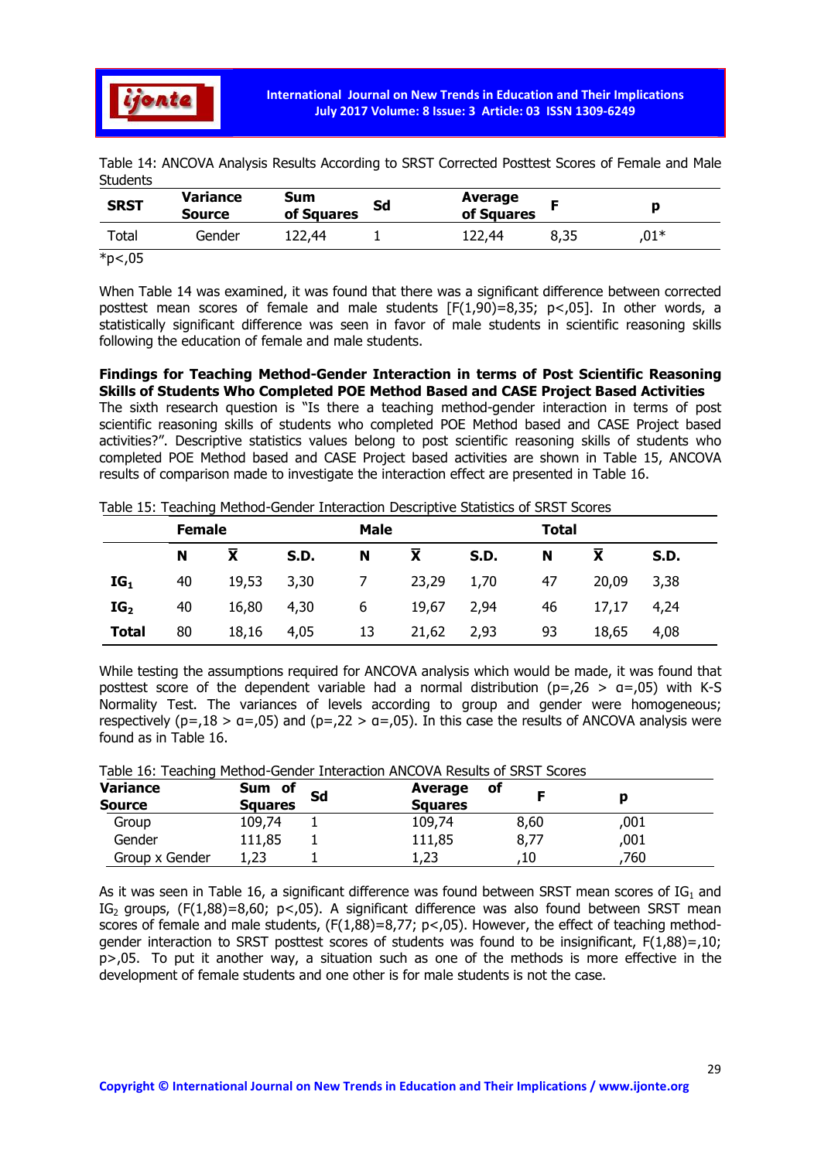

| Table 14: ANCOVA Analysis Results According to SRST Corrected Posttest Scores of Female and Male |  |  |  |  |  |
|--------------------------------------------------------------------------------------------------|--|--|--|--|--|
| Students                                                                                         |  |  |  |  |  |

| <b>SRST</b>             | <b>Variance</b><br><b>Source</b> | Sum<br>of Squares | Sd | Average<br>of Squares |      |      |
|-------------------------|----------------------------------|-------------------|----|-----------------------|------|------|
| Total                   | Gender                           | L22.44            |    | 122.44                | 8,35 | ,01* |
| $\star$ . $\sim$ $\sim$ |                                  |                   |    |                       |      |      |

\*p<,05

When Table 14 was examined, it was found that there was a significant difference between corrected posttest mean scores of female and male students  $[F(1,90)=8,35; p<0.5]$ . In other words, a statistically significant difference was seen in favor of male students in scientific reasoning skills following the education of female and male students.

Findings for Teaching Method-Gender Interaction in terms of Post Scientific Reasoning Skills of Students Who Completed POE Method Based and CASE Project Based Activities The sixth research question is "Is there a teaching method-gender interaction in terms of post

scientific reasoning skills of students who completed POE Method based and CASE Project based activities?". Descriptive statistics values belong to post scientific reasoning skills of students who completed POE Method based and CASE Project based activities are shown in Table 15, ANCOVA results of comparison made to investigate the interaction effect are presented in Table 16.

Table 15: Teaching Method-Gender Interaction Descriptive Statistics of SRST Scores

|                 | <b>Female</b> |       |             | Male |                    |      | <b>Total</b> |            |       |  |
|-----------------|---------------|-------|-------------|------|--------------------|------|--------------|------------|-------|--|
|                 | N             | X     | <b>S.D.</b> | N    | $\bar{\mathbf{x}}$ | S.D. | N            | X          | S.D.  |  |
| $IG_1$          | 40            | 19,53 | 3,30        |      | 23,29 1,70         |      | 47           | 20,09      | -3,38 |  |
| IG <sub>2</sub> | 40            | 16,80 | 4,30        | 6    | 19,67 2,94         |      | 46           | 17,17 4,24 |       |  |
| <b>Total</b>    | 80            | 18,16 | 4,05        | 13   | 21,62              | 2,93 | 93           | 18,65      | 4,08  |  |

While testing the assumptions required for ANCOVA analysis which would be made, it was found that posttest score of the dependent variable had a normal distribution ( $p=.26$  >  $q=.05$ ) with K-S Normality Test. The variances of levels according to group and gender were homogeneous; respectively ( $p = 18 > a = 0.05$ ) and ( $p = 22 > a = 0.05$ ). In this case the results of ANCOVA analysis were found as in Table 16.

|  |  | Table 16: Teaching Method-Gender Interaction ANCOVA Results of SRST Scores |  |  |  |  |
|--|--|----------------------------------------------------------------------------|--|--|--|--|
|--|--|----------------------------------------------------------------------------|--|--|--|--|

| <b>Variance</b><br><b>Source</b> | of<br>Sum<br><b>Squares</b> | Sd | Average<br><b>Squares</b> | <b>of</b> |      |  |
|----------------------------------|-----------------------------|----|---------------------------|-----------|------|--|
| Group                            | 109,74                      |    | 109,74                    | 8,60      | ,001 |  |
| Gender                           | 111,85                      |    | 111,85                    | 8,77      | ,001 |  |
| Group x Gender                   | つつ<br>ں ے ، ⊥               |    | 1,23                      | .10       | .760 |  |

As it was seen in Table 16, a significant difference was found between SRST mean scores of  $IG_1$  and IG<sub>2</sub> groups,  $(F(1,88)=8,60; p<0.05)$ . A significant difference was also found between SRST mean scores of female and male students, (F(1,88)=8,77; p<,05). However, the effect of teaching methodgender interaction to SRST posttest scores of students was found to be insignificant, F(1,88)=,10; p>,05. To put it another way, a situation such as one of the methods is more effective in the development of female students and one other is for male students is not the case.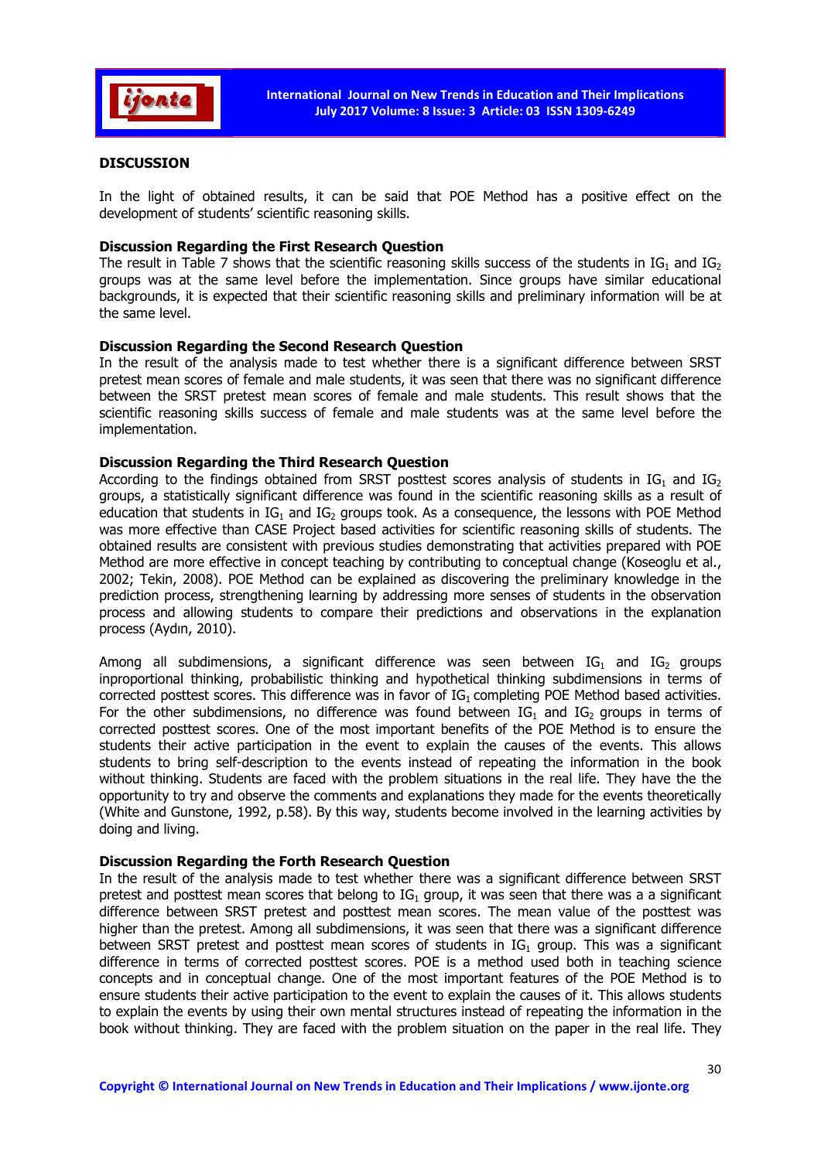

## **DISCUSSION**

In the light of obtained results, it can be said that POE Method has a positive effect on the development of students' scientific reasoning skills.

#### Discussion Regarding the First Research Question

The result in Table 7 shows that the scientific reasoning skills success of the students in  $IG_1$  and  $IG_2$ groups was at the same level before the implementation. Since groups have similar educational backgrounds, it is expected that their scientific reasoning skills and preliminary information will be at the same level.

#### Discussion Regarding the Second Research Question

In the result of the analysis made to test whether there is a significant difference between SRST pretest mean scores of female and male students, it was seen that there was no significant difference between the SRST pretest mean scores of female and male students. This result shows that the scientific reasoning skills success of female and male students was at the same level before the implementation.

#### Discussion Regarding the Third Research Question

According to the findings obtained from SRST posttest scores analysis of students in  $IG_1$  and  $IG_2$ groups, a statistically significant difference was found in the scientific reasoning skills as a result of education that students in  $IG_1$  and  $IG_2$  groups took. As a consequence, the lessons with POE Method was more effective than CASE Project based activities for scientific reasoning skills of students. The obtained results are consistent with previous studies demonstrating that activities prepared with POE Method are more effective in concept teaching by contributing to conceptual change (Koseoglu et al., 2002; Tekin, 2008). POE Method can be explained as discovering the preliminary knowledge in the prediction process, strengthening learning by addressing more senses of students in the observation process and allowing students to compare their predictions and observations in the explanation process (Aydın, 2010).

Among all subdimensions, a significant difference was seen between  $IG_1$  and  $IG_2$  groups inproportional thinking, probabilistic thinking and hypothetical thinking subdimensions in terms of corrected posttest scores. This difference was in favor of IG<sub>1</sub> completing POE Method based activities. For the other subdimensions, no difference was found between  $IG_1$  and  $IG_2$  groups in terms of corrected posttest scores. One of the most important benefits of the POE Method is to ensure the students their active participation in the event to explain the causes of the events. This allows students to bring self-description to the events instead of repeating the information in the book without thinking. Students are faced with the problem situations in the real life. They have the the opportunity to try and observe the comments and explanations they made for the events theoretically (White and Gunstone, 1992, p.58). By this way, students become involved in the learning activities by doing and living.

#### Discussion Regarding the Forth Research Question

In the result of the analysis made to test whether there was a significant difference between SRST pretest and posttest mean scores that belong to  $IG_1$  group, it was seen that there was a a significant difference between SRST pretest and posttest mean scores. The mean value of the posttest was higher than the pretest. Among all subdimensions, it was seen that there was a significant difference between SRST pretest and posttest mean scores of students in  $IG<sub>1</sub>$  group. This was a significant difference in terms of corrected posttest scores. POE is a method used both in teaching science concepts and in conceptual change. One of the most important features of the POE Method is to ensure students their active participation to the event to explain the causes of it. This allows students to explain the events by using their own mental structures instead of repeating the information in the book without thinking. They are faced with the problem situation on the paper in the real life. They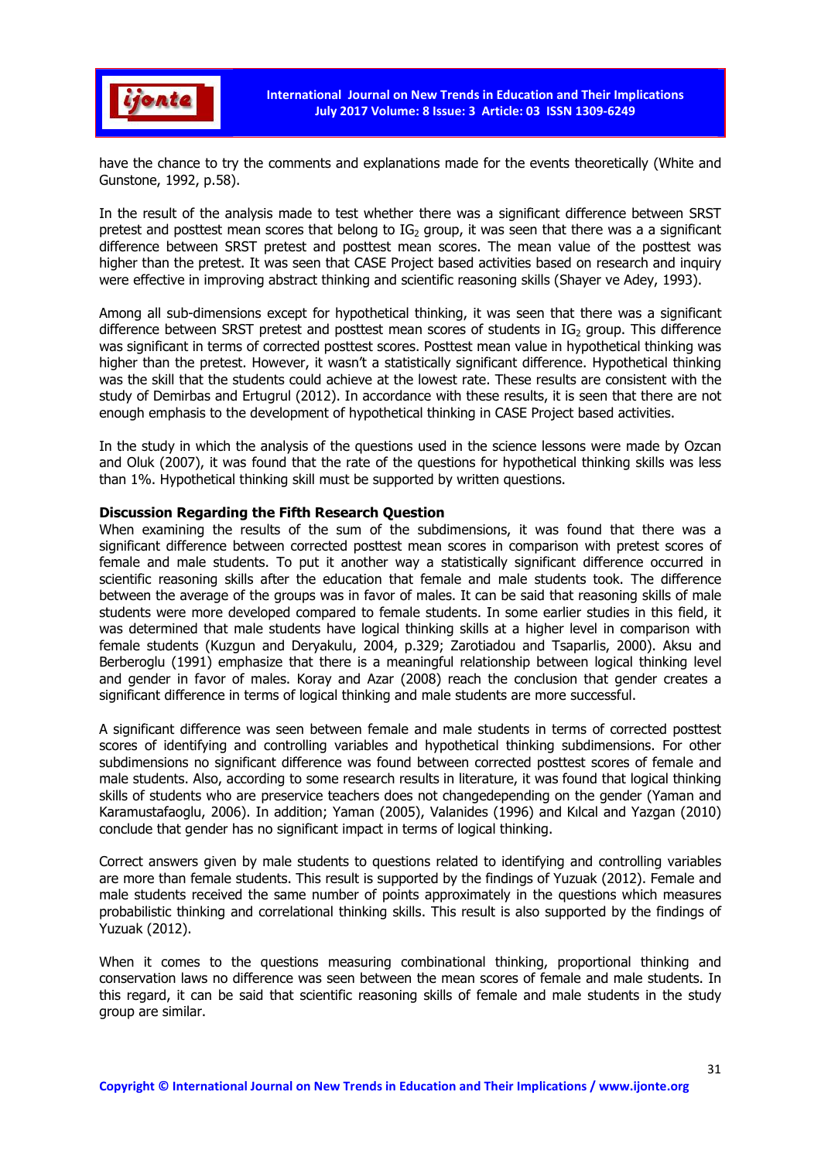

have the chance to try the comments and explanations made for the events theoretically (White and Gunstone, 1992, p.58).

In the result of the analysis made to test whether there was a significant difference between SRST pretest and posttest mean scores that belong to  $IG_2$  group, it was seen that there was a a significant difference between SRST pretest and posttest mean scores. The mean value of the posttest was higher than the pretest. It was seen that CASE Project based activities based on research and inquiry were effective in improving abstract thinking and scientific reasoning skills (Shayer ve Adey, 1993).

Among all sub-dimensions except for hypothetical thinking, it was seen that there was a significant difference between SRST pretest and posttest mean scores of students in  $IG<sub>2</sub>$  group. This difference was significant in terms of corrected posttest scores. Posttest mean value in hypothetical thinking was higher than the pretest. However, it wasn't a statistically significant difference. Hypothetical thinking was the skill that the students could achieve at the lowest rate. These results are consistent with the study of Demirbas and Ertugrul (2012). In accordance with these results, it is seen that there are not enough emphasis to the development of hypothetical thinking in CASE Project based activities.

In the study in which the analysis of the questions used in the science lessons were made by Ozcan and Oluk (2007), it was found that the rate of the questions for hypothetical thinking skills was less than 1%. Hypothetical thinking skill must be supported by written questions.

#### Discussion Regarding the Fifth Research Question

When examining the results of the sum of the subdimensions, it was found that there was a significant difference between corrected posttest mean scores in comparison with pretest scores of female and male students. To put it another way a statistically significant difference occurred in scientific reasoning skills after the education that female and male students took. The difference between the average of the groups was in favor of males. It can be said that reasoning skills of male students were more developed compared to female students. In some earlier studies in this field, it was determined that male students have logical thinking skills at a higher level in comparison with female students (Kuzgun and Deryakulu, 2004, p.329; Zarotiadou and Tsaparlis, 2000). Aksu and Berberoglu (1991) emphasize that there is a meaningful relationship between logical thinking level and gender in favor of males. Koray and Azar (2008) reach the conclusion that gender creates a significant difference in terms of logical thinking and male students are more successful.

A significant difference was seen between female and male students in terms of corrected posttest scores of identifying and controlling variables and hypothetical thinking subdimensions. For other subdimensions no significant difference was found between corrected posttest scores of female and male students. Also, according to some research results in literature, it was found that logical thinking skills of students who are preservice teachers does not changedepending on the gender (Yaman and Karamustafaoglu, 2006). In addition; Yaman (2005), Valanides (1996) and Kılcal and Yazgan (2010) conclude that gender has no significant impact in terms of logical thinking.

Correct answers given by male students to questions related to identifying and controlling variables are more than female students. This result is supported by the findings of Yuzuak (2012). Female and male students received the same number of points approximately in the questions which measures probabilistic thinking and correlational thinking skills. This result is also supported by the findings of Yuzuak (2012).

When it comes to the questions measuring combinational thinking, proportional thinking and conservation laws no difference was seen between the mean scores of female and male students. In this regard, it can be said that scientific reasoning skills of female and male students in the study group are similar.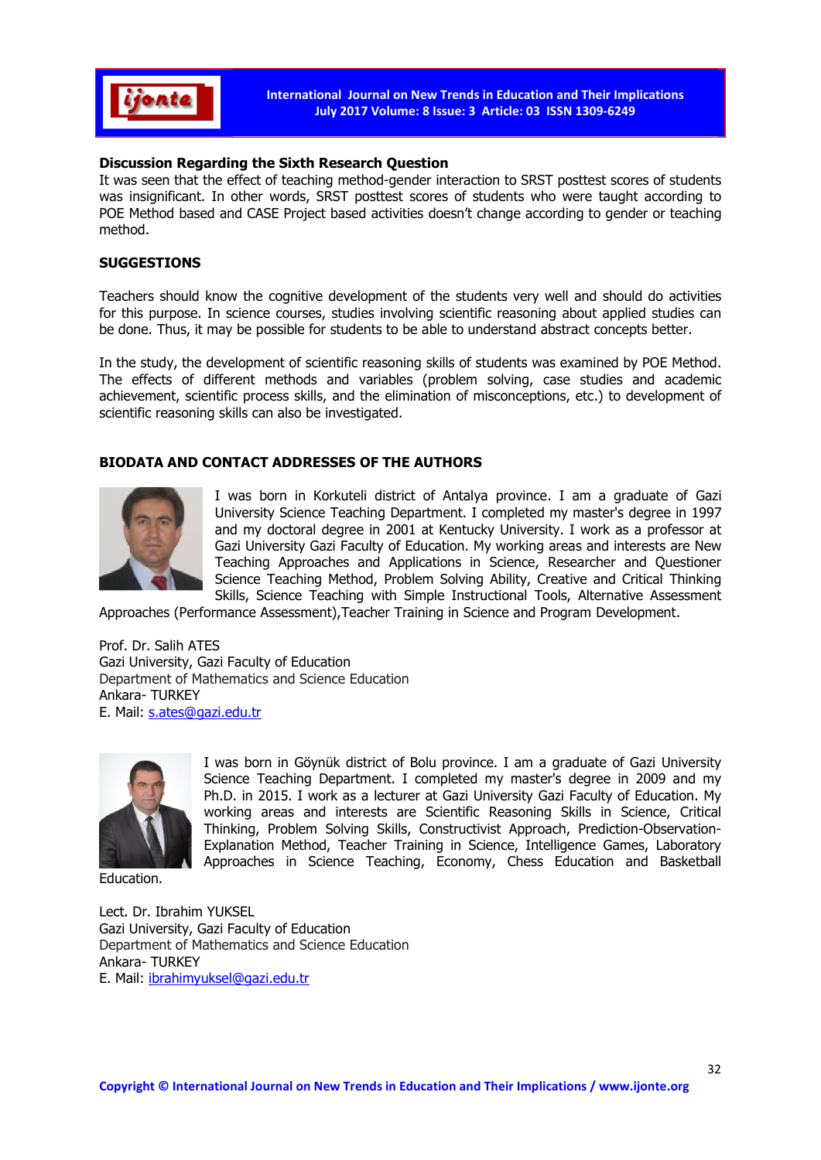

## Discussion Regarding the Sixth Research Question

It was seen that the effect of teaching method-gender interaction to SRST posttest scores of students was insignificant. In other words, SRST posttest scores of students who were taught according to POE Method based and CASE Project based activities doesn't change according to gender or teaching method.

## SUGGESTIONS

Teachers should know the cognitive development of the students very well and should do activities for this purpose. In science courses, studies involving scientific reasoning about applied studies can be done. Thus, it may be possible for students to be able to understand abstract concepts better.

In the study, the development of scientific reasoning skills of students was examined by POE Method. The effects of different methods and variables (problem solving, case studies and academic achievement, scientific process skills, and the elimination of misconceptions, etc.) to development of scientific reasoning skills can also be investigated.

## BIODATA AND CONTACT ADDRESSES OF THE AUTHORS



I was born in Korkuteli district of Antalya province. I am a graduate of Gazi University Science Teaching Department. I completed my master's degree in 1997 and my doctoral degree in 2001 at Kentucky University. I work as a professor at Gazi University Gazi Faculty of Education. My working areas and interests are New Teaching Approaches and Applications in Science, Researcher and Questioner Science Teaching Method, Problem Solving Ability, Creative and Critical Thinking Skills, Science Teaching with Simple Instructional Tools, Alternative Assessment

Approaches (Performance Assessment),Teacher Training in Science and Program Development.

Prof. Dr. Salih ATES Gazi University, Gazi Faculty of Education Department of Mathematics and Science Education Ankara- TURKEY E. Mail: s.ates@gazi.edu.tr



I was born in Göynük district of Bolu province. I am a graduate of Gazi University Science Teaching Department. I completed my master's degree in 2009 and my Ph.D. in 2015. I work as a lecturer at Gazi University Gazi Faculty of Education. My working areas and interests are Scientific Reasoning Skills in Science, Critical Thinking, Problem Solving Skills, Constructivist Approach, Prediction-Observation-Explanation Method, Teacher Training in Science, Intelligence Games, Laboratory Approaches in Science Teaching, Economy, Chess Education and Basketball

Education.

Lect. Dr. Ibrahim YUKSEL Gazi University, Gazi Faculty of Education Department of Mathematics and Science Education Ankara- TURKEY E. Mail: ibrahimyuksel@gazi.edu.tr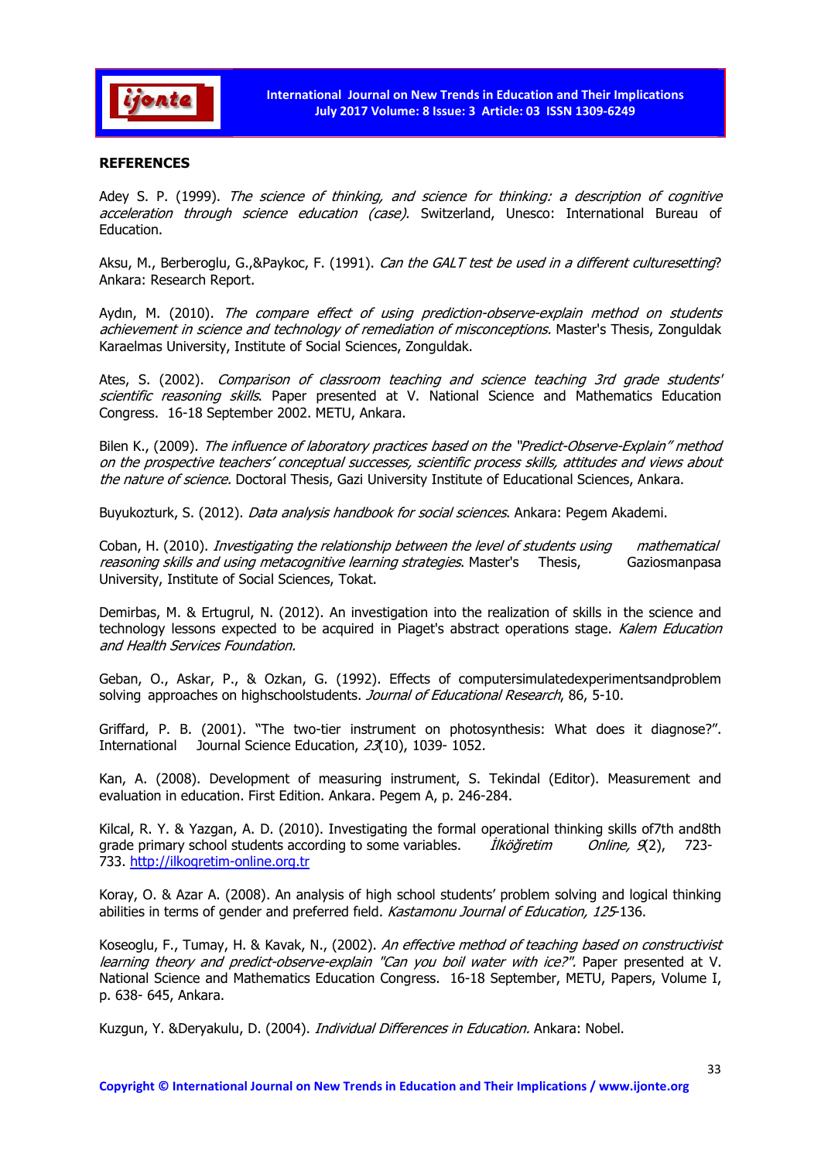

## **REFERENCES**

Adey S. P. (1999). The science of thinking, and science for thinking: a description of cognitive acceleration through science education (case). Switzerland, Unesco: International Bureau of Education.

Aksu, M., Berberoglu, G.,&Paykoc, F. (1991). Can the GALT test be used in a different culturesetting? Ankara: Research Report.

Aydın, M. (2010). The compare effect of using prediction-observe-explain method on students achievement in science and technology of remediation of misconceptions. Master's Thesis, Zonguldak Karaelmas University, Institute of Social Sciences, Zonguldak.

Ates, S. (2002). Comparison of classroom teaching and science teaching 3rd grade students' scientific reasoning skills. Paper presented at V. National Science and Mathematics Education Congress. 16-18 September 2002. METU, Ankara.

Bilen K., (2009). The influence of laboratory practices based on the "Predict-Observe-Explain" method on the prospective teachers' conceptual successes, scientific process skills, attitudes and views about the nature of science. Doctoral Thesis, Gazi University Institute of Educational Sciences, Ankara.

Buyukozturk, S. (2012). Data analysis handbook for social sciences. Ankara: Pegem Akademi.

Coban, H. (2010). Investigating the relationship between the level of students using mathematical reasoning skills and using metacognitive learning strategies. Master's Thesis, Gaziosmanpasa University, Institute of Social Sciences, Tokat.

Demirbas, M. & Ertugrul, N. (2012). An investigation into the realization of skills in the science and technology lessons expected to be acquired in Piaget's abstract operations stage. Kalem Education and Health Services Foundation.

Geban, O., Askar, P., & Ozkan, G. (1992). Effects of computersimulatedexperimentsandproblem solving approaches on highschoolstudents. Journal of Educational Research, 86, 5-10.

Griffard, P. B. (2001). "The two-tier instrument on photosynthesis: What does it diagnose?". International Journal Science Education, 23(10), 1039- 1052.

Kan, A. (2008). Development of measuring instrument, S. Tekindal (Editor). Measurement and evaluation in education. First Edition. Ankara. Pegem A, p. 246-284.

Kilcal, R. Y. & Yazgan, A. D. (2010). Investigating the formal operational thinking skills of7th and8th grade primary school students according to some variables. *İlköğretim Online, 9*(2), 723-733. http://ilkogretim-online.org.tr

Koray, O. & Azar A. (2008). An analysis of high school students' problem solving and logical thinking abilities in terms of gender and preferred field. Kastamonu Journal of Education, 125-136.

Koseoglu, F., Tumay, H. & Kavak, N., (2002). An effective method of teaching based on constructivist learning theory and predict-observe-explain "Can you boil water with ice?". Paper presented at V. National Science and Mathematics Education Congress. 16-18 September, METU, Papers, Volume I, p. 638- 645, Ankara.

Kuzgun, Y. &Deryakulu, D. (2004). *Individual Differences in Education*. Ankara: Nobel.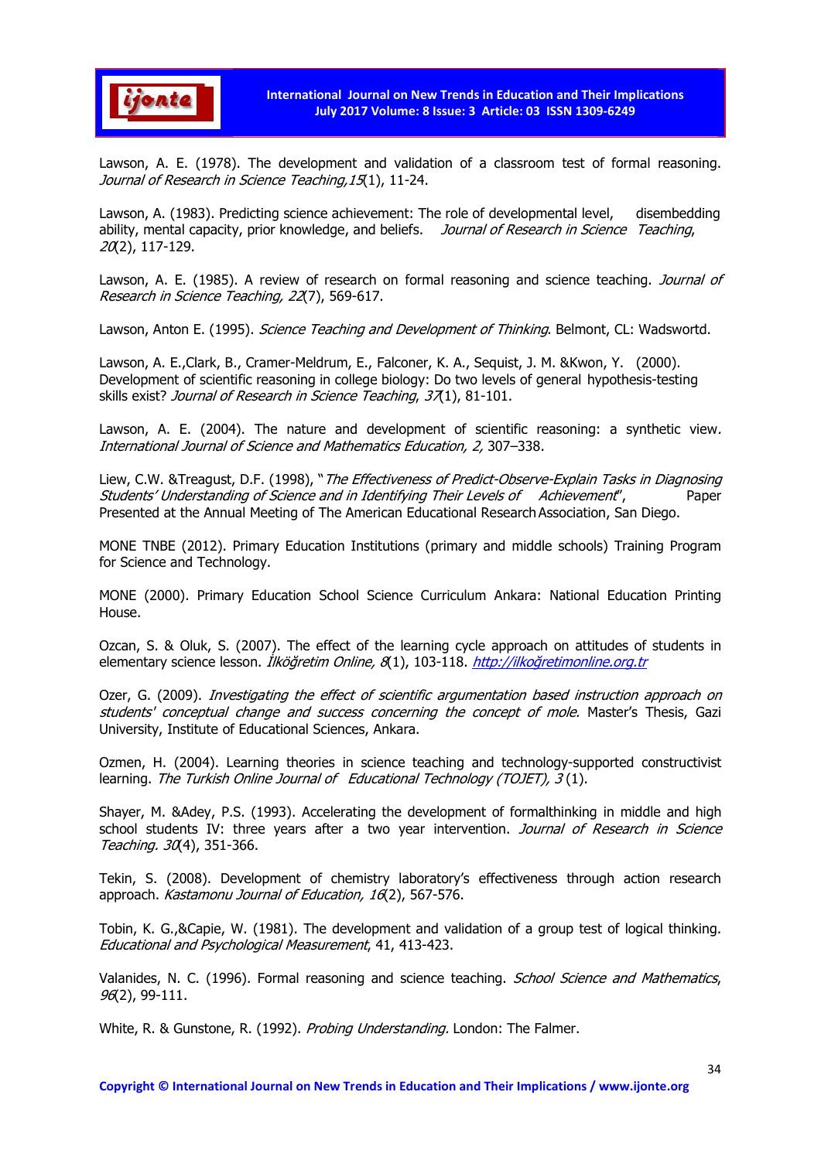

Lawson, A. E. (1978). The development and validation of a classroom test of formal reasoning. Journal of Research in Science Teaching, 15(1), 11-24.

Lawson, A. (1983). Predicting science achievement: The role of developmental level, disembedding ability, mental capacity, prior knowledge, and beliefs. Journal of Research in Science Teaching, 20(2), 117-129.

Lawson, A. E. (1985). A review of research on formal reasoning and science teaching. *Journal of* Research in Science Teaching, 22(7), 569-617.

Lawson, Anton E. (1995). *Science Teaching and Development of Thinking*. Belmont, CL: Wadswortd.

Lawson, A. E.,Clark, B., Cramer-Meldrum, E., Falconer, K. A., Sequist, J. M. &Kwon, Y. (2000). Development of scientific reasoning in college biology: Do two levels of general hypothesis-testing skills exist? Journal of Research in Science Teaching, 37(1), 81-101.

Lawson, A. E. (2004). The nature and development of scientific reasoning: a synthetic view. International Journal of Science and Mathematics Education, 2, 307–338.

Liew, C.W. &Treagust, D.F. (1998), "The Effectiveness of Predict-Observe-Explain Tasks in Diagnosing Students' Understanding of Science and in Identifying Their Levels of Achievement'', Paper Presented at the Annual Meeting of The American Educational Research Association, San Diego.

MONE TNBE (2012). Primary Education Institutions (primary and middle schools) Training Program for Science and Technology.

MONE (2000). Primary Education School Science Curriculum Ankara: National Education Printing House.

Ozcan, S. & Oluk, S. (2007). The effect of the learning cycle approach on attitudes of students in elementary science lesson. *İlköğretim Online, 8*(1), 103-118. http://ilkoğretimonline.org.tr

Ozer, G. (2009). Investigating the effect of scientific argumentation based instruction approach on students' conceptual change and success concerning the concept of mole. Master's Thesis, Gazi University, Institute of Educational Sciences, Ankara.

Ozmen, H. (2004). Learning theories in science teaching and technology-supported constructivist learning. The Turkish Online Journal of Educational Technology (TOJET), 3(1).

Shayer, M. &Adey, P.S. (1993). Accelerating the development of formalthinking in middle and high school students IV: three years after a two year intervention. Journal of Research in Science Teaching. 30(4), 351-366.

Tekin, S. (2008). Development of chemistry laboratory's effectiveness through action research approach. Kastamonu Journal of Education, 16(2), 567-576.

Tobin, K. G.,&Capie, W. (1981). The development and validation of a group test of logical thinking. Educational and Psychological Measurement, 41, 413-423.

Valanides, N. C. (1996). Formal reasoning and science teaching. School Science and Mathematics, 96(2), 99-111.

White, R. & Gunstone, R. (1992). *Probing Understanding*. London: The Falmer.